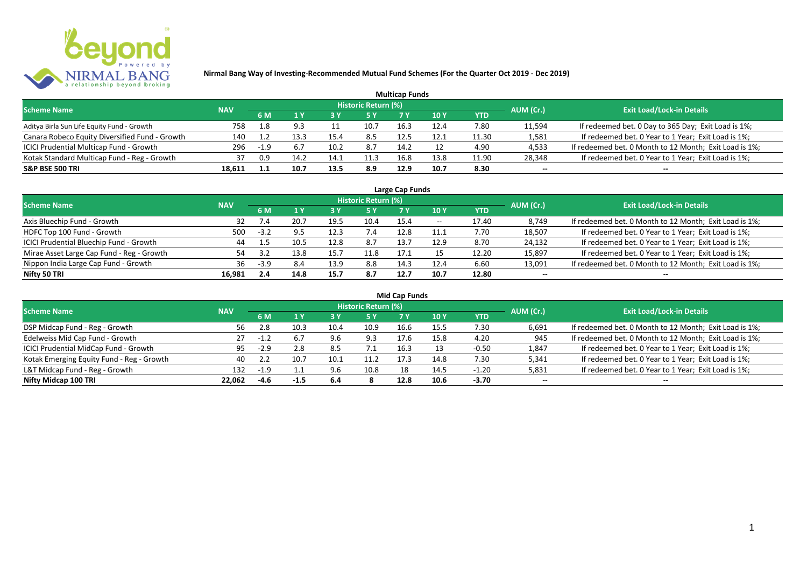

|                                                |            |      |      |      |                     | <b>Multicap Funds</b> |      |            |           |                                                        |
|------------------------------------------------|------------|------|------|------|---------------------|-----------------------|------|------------|-----------|--------------------------------------------------------|
| <b>Scheme Name</b>                             | <b>NAV</b> |      |      |      | Historic Return (%) |                       |      |            | AUM (Cr.) | <b>Exit Load/Lock-in Details</b>                       |
|                                                |            | 6 M  |      |      |                     |                       | 10 Y | <b>YTD</b> |           |                                                        |
| Aditya Birla Sun Life Equity Fund - Growth     | 758        | 1.8  |      |      | 10.7                | 16.3                  | 12.4 | 7.80       | 11,594    | If redeemed bet. 0 Day to 365 Day; Exit Load is 1%;    |
| Canara Robeco Equity Diversified Fund - Growth | 140        |      |      | 15.4 | 8.5                 | 12.5                  | 12.1 | 11.30      | 1,581     | If redeemed bet. 0 Year to 1 Year; Exit Load is 1%;    |
| ICICI Prudential Multicap Fund - Growth        | 296        | -1.9 |      | 10.2 | 8.7                 | 14.2                  |      | 4.90       | 4,533     | If redeemed bet. 0 Month to 12 Month; Exit Load is 1%; |
| Kotak Standard Multicap Fund - Reg - Growth    | 37         | 0.9  | 14.7 | 14.1 | 11.3                | 16.8                  | 13.8 | 11.90      | 28,348    | If redeemed bet. 0 Year to 1 Year; Exit Load is 1%;    |
| <b>S&amp;P BSE 500 TRI</b>                     | 18,611     |      | 10.7 | 13.5 | 8.9                 | 12.9                  | 10.7 | 8.30       | $- -$     | $- -$                                                  |

| Large Cap Funds                           |            |        |      |      |                            |      |            |       |           |                                                        |  |  |  |
|-------------------------------------------|------------|--------|------|------|----------------------------|------|------------|-------|-----------|--------------------------------------------------------|--|--|--|
| <b>Scheme Name</b>                        | <b>NAV</b> |        |      |      | <b>Historic Return (%)</b> |      |            |       | AUM (Cr.) | <b>Exit Load/Lock-in Details</b>                       |  |  |  |
|                                           |            | 6 M    |      |      | 5 Y                        |      | <b>10Y</b> | YTD   |           |                                                        |  |  |  |
| Axis Bluechip Fund - Growth               | 32         |        | 20.7 | 19.5 | 10.4                       | 15.4 | $- -$      | 17.40 | 8,749     | If redeemed bet. 0 Month to 12 Month; Exit Load is 1%; |  |  |  |
| HDFC Top 100 Fund - Growth                | 500        | $-3.2$ | 9.5  | 12.3 |                            | 12.8 | 11.1       | 7.70  | 18,507    | If redeemed bet. 0 Year to 1 Year; Exit Load is 1%;    |  |  |  |
| ICICI Prudential Bluechip Fund - Growth   | 44         |        | 10.5 | 12.8 | 8.7                        | 13.7 | 12.9       | 8.70  | 24,132    | If redeemed bet. 0 Year to 1 Year; Exit Load is 1%;    |  |  |  |
| Mirae Asset Large Cap Fund - Reg - Growth | 54         |        | 13.8 | 15.7 | 11.8                       | 17.1 |            | 12.20 | 15,897    | If redeemed bet. 0 Year to 1 Year; Exit Load is 1%;    |  |  |  |
| Nippon India Large Cap Fund - Growth      | 36         | $-3.9$ | 8.4  | 13.9 | 8.8                        | 14.3 | 12.4       | 6.60  | 13,091    | If redeemed bet. 0 Month to 12 Month; Exit Load is 1%; |  |  |  |
| Nifty 50 TRI                              | 16.981     | 2.4    | 14.8 | 15.7 | 8.7                        | 12.7 | 10.7       | 12.80 | $- -$     | $- -$                                                  |  |  |  |

| <b>Mid Cap Funds</b>                      |            |        |      |      |                            |      |      |            |           |                                                        |  |  |  |
|-------------------------------------------|------------|--------|------|------|----------------------------|------|------|------------|-----------|--------------------------------------------------------|--|--|--|
| <b>Scheme Name</b>                        | <b>NAV</b> |        |      |      | <b>Historic Return (%)</b> |      |      |            | AUM (Cr.) | <b>Exit Load/Lock-in Details</b>                       |  |  |  |
|                                           |            | 6 M    |      |      | 5 Y                        | 7 Y  | 10 Y | <b>YTD</b> |           |                                                        |  |  |  |
| DSP Midcap Fund - Reg - Growth            | 56.        |        | 10.3 | 10.4 | 10.9                       | 16.6 | 15.5 | 7.30       | 6,691     | If redeemed bet. 0 Month to 12 Month; Exit Load is 1%; |  |  |  |
| Edelweiss Mid Cap Fund - Growth           | 27         |        | 6.7  | 9.6  | 9.3                        | 17.6 | 15.8 | 4.20       | 945       | If redeemed bet. 0 Month to 12 Month; Exit Load is 1%; |  |  |  |
| ICICI Prudential MidCap Fund - Growth     | 95         | $-2.9$ | 2.8  | 8.5  | $\overline{\phantom{a}}$   | 16.3 |      | $-0.50$    | 1,847     | If redeemed bet. 0 Year to 1 Year; Exit Load is 1%;    |  |  |  |
| Kotak Emerging Equity Fund - Reg - Growth | 40         |        | 10.7 | 10.1 | 11.2                       |      | 14.8 | 7.30       | 5,341     | If redeemed bet. 0 Year to 1 Year; Exit Load is 1%;    |  |  |  |
| L&T Midcap Fund - Reg - Growth            | 132        | $-1.9$ |      | 9.6  | 10.8                       |      | 14.5 | $-1.20$    | 5,831     | If redeemed bet. 0 Year to 1 Year; Exit Load is 1%;    |  |  |  |
| Nifty Midcap 100 TRI                      | 22.062     | $-4.6$ | -1.5 | 6.4  |                            | 12.8 | 10.6 | -3.70      | $- -$     | $- -$                                                  |  |  |  |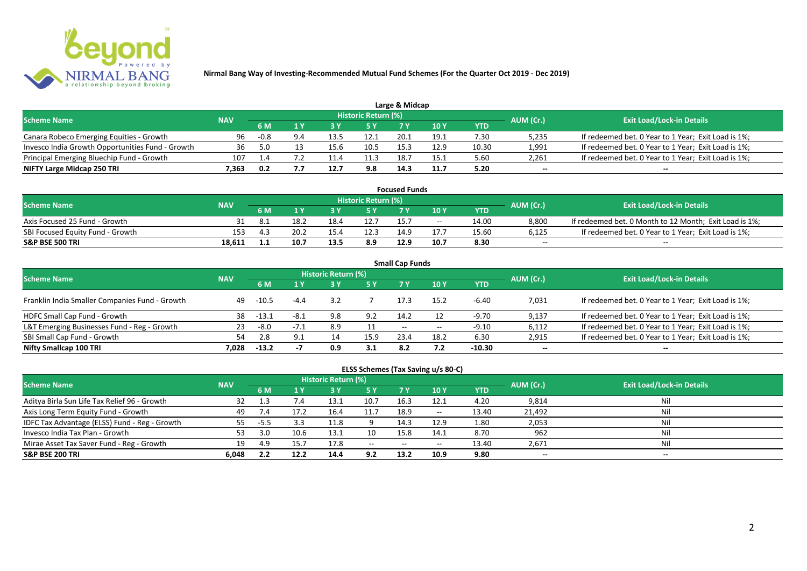

|                                                  |            |        |     |      |                            | Large & Midcap |               |       |           |                                                     |
|--------------------------------------------------|------------|--------|-----|------|----------------------------|----------------|---------------|-------|-----------|-----------------------------------------------------|
| <b>Scheme Name</b>                               | <b>NAV</b> |        |     |      | <b>Historic Return (%)</b> |                |               |       | AUM (Cr.) | <b>Exit Load/Lock-in Details</b>                    |
|                                                  |            | 6 M    |     |      | 5 Y                        |                | $\sqrt{10}$ Y | YTD   |           |                                                     |
| Canara Robeco Emerging Equities - Growth         | 96         | $-0.8$ | 9.4 |      | 12.1                       | 20.1           | 19.1          | 7.30  | 5,235     | If redeemed bet. 0 Year to 1 Year; Exit Load is 1%; |
| Invesco India Growth Opportunities Fund - Growth | 36         |        |     | 15.6 | 10.5                       | 15.3           | 12.9          | 10.30 | 1,991     | If redeemed bet. 0 Year to 1 Year; Exit Load is 1%; |
| Principal Emerging Bluechip Fund - Growth        | 107        |        |     |      | 11.3                       | 18.7           | 15.1          | 5.60  | 2,261     | If redeemed bet. 0 Year to 1 Year; Exit Load is 1%; |
| NIFTY Large Midcap 250 TRI                       | 7.363      | 0.2    |     | 12.7 | 9.8                        | 14.3           | 11.7          | 5.20  | $-$       | $- -$                                               |

| <b>Focused Funds</b>             |            |      |      |      |                     |      |       |       |           |                                                        |  |  |
|----------------------------------|------------|------|------|------|---------------------|------|-------|-------|-----------|--------------------------------------------------------|--|--|
| <b>Scheme Name</b>               | <b>NAV</b> |      |      |      | Historic Return (%) |      |       |       | AUM (Cr.) | <b>Exit Load/Lock-in Details</b>                       |  |  |
|                                  |            | 6 M  |      |      | 5 Y                 |      |       | YTD   |           |                                                        |  |  |
| Axis Focused 25 Fund - Growth    |            |      | 18.2 | 18.4 | 12.7                | 15.  | $- -$ | 14.00 | 8,800     | If redeemed bet. 0 Month to 12 Month; Exit Load is 1%; |  |  |
| SBI Focused Equity Fund - Growth | 153        | д. - | 20.2 | 15.4 | 12.3                | 14.9 |       | 15.60 | 6,125     | If redeemed bet. 0 Year to 1 Year; Exit Load is 1%;    |  |  |
| <b>S&amp;P BSE 500 TRI</b>       | 18.611     |      | 10.7 | 13.5 | 8.9                 | 12.9 | 10.7  | 8.30  | $-$       | $- -$                                                  |  |  |

| <b>Small Cap Funds</b>                         |            |         |        |                     |           |                   |       |            |           |                                                     |  |  |  |
|------------------------------------------------|------------|---------|--------|---------------------|-----------|-------------------|-------|------------|-----------|-----------------------------------------------------|--|--|--|
| <b>Scheme Name</b>                             | <b>NAV</b> |         |        | Historic Return (%) |           |                   |       |            | AUM (Cr.) | <b>Exit Load/Lock-in Details</b>                    |  |  |  |
|                                                |            |         |        |                     | <b>5Y</b> | 7 V               | 10Y   | <b>YTD</b> |           |                                                     |  |  |  |
| Franklin India Smaller Companies Fund - Growth | 49         | $-10.5$ | $-4.4$ | 3.2                 |           | 17.3              | 15.2  | -6.40      | 7,031     | If redeemed bet. 0 Year to 1 Year; Exit Load is 1%; |  |  |  |
| HDFC Small Cap Fund - Growth                   | 38         | -13.1   | $-8.1$ | 9.8                 | 9.2       | 14.2              | 12    | -9.70      | 9,137     | If redeemed bet. 0 Year to 1 Year; Exit Load is 1%; |  |  |  |
| L&T Emerging Businesses Fund - Reg - Growth    | 23         | -8.0    | $-7.1$ | 8.9                 | 11        | $\hspace{0.05cm}$ | $- -$ | $-9.10$    | 6,112     | If redeemed bet. 0 Year to 1 Year; Exit Load is 1%; |  |  |  |
| SBI Small Cap Fund - Growth                    | 54         |         | 9.1    | 14                  | 15.9      | 23.4              | 18.2  | 6.30       | 2,915     | If redeemed bet. 0 Year to 1 Year; Exit Load is 1%; |  |  |  |
| Nifty Smallcap 100 TRI                         | 7.028      | $-13.2$ |        | 0.9                 | 3.1       | 8.2               |       | $-10.30$   | $- -$     | --                                                  |  |  |  |

## **ELSS Schemes (Tax Saving u/s 80-C)**

| <b>Scheme Name</b>                            | <b>NAV</b> |      |               | <b>Historic Return (%)</b> |           |       |            |       | AUM (Cr.) | <b>Exit Load/Lock-in Details</b> |
|-----------------------------------------------|------------|------|---------------|----------------------------|-----------|-------|------------|-------|-----------|----------------------------------|
|                                               |            | 6 M  |               |                            | <b>5Y</b> | 7 Y   | <b>10Y</b> | YTD   |           |                                  |
| Aditya Birla Sun Life Tax Relief 96 - Growth  | 32         |      | $1.4^{\circ}$ | 13.1                       | 10.7      | 16.3  | 12.1       | 4.20  | 9,814     | Nil                              |
| Axis Long Term Equity Fund - Growth           | 49         |      | 17.2          | 16.4                       | 11.7      | 18.9  | $- -$      | 13.40 | 21,492    | Nil                              |
| IDFC Tax Advantage (ELSS) Fund - Reg - Growth | 55.        | -5.5 |               | 11.8                       |           | 14.3  | 12.9       | 1.80  | 2,053     | Nil                              |
| Invesco India Tax Plan - Growth               | 53         | 3.O  | 10.6          | 13.1                       | 10        | 15.8  | 14.1       | 8.70  | 962       | Nil                              |
| Mirae Asset Tax Saver Fund - Reg - Growth     | 19         | 4.9  | 15.7          | 17.8                       | $  \,$    | $- -$ | $- -$      | 13.40 | 2,671     | Nil                              |
| <b>S&amp;P BSE 200 TRI</b>                    | 6.048      | 2.2  | 12.2          | 14.4                       | 9.2       | 13.2  | 10.9       | 9.80  | $- -$     | $- -$                            |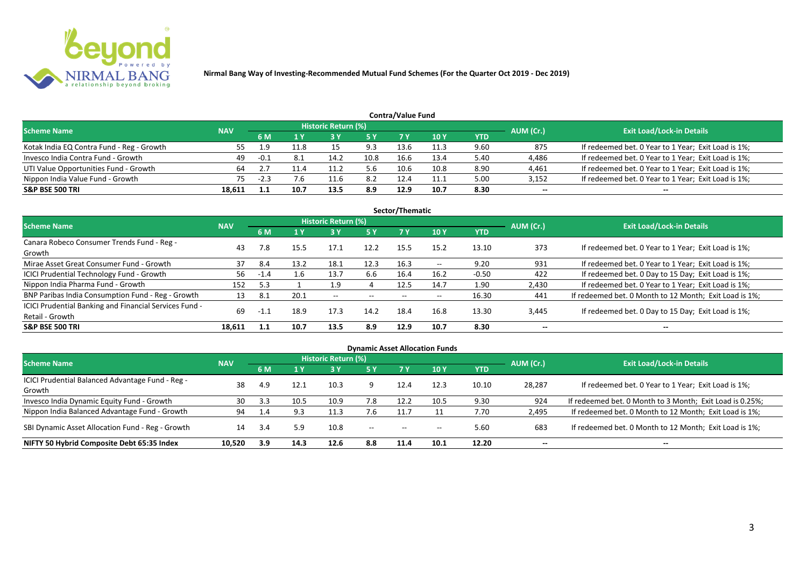

|                                           |            |        |      |                            |            | Contra/Value Fund |            |      |           |                                                     |
|-------------------------------------------|------------|--------|------|----------------------------|------------|-------------------|------------|------|-----------|-----------------------------------------------------|
| <b>Scheme Name</b>                        | <b>NAV</b> |        |      | <b>Historic Return (%)</b> |            |                   |            |      | AUM (Cr.) | <b>Exit Load/Lock-in Details</b>                    |
|                                           |            | 6 M    |      |                            | <b>5 Y</b> | 7 V               | <b>10Y</b> | YTD  |           |                                                     |
| Kotak India EQ Contra Fund - Reg - Growth |            | - q    | L1.8 |                            | 9.3        | 13.6              | 11.3       | 9.60 | 875       | If redeemed bet. 0 Year to 1 Year; Exit Load is 1%; |
| Invesco India Contra Fund - Growth        | 49         | $-0.1$ | 8.1  | 14.2                       | 10.8       | 16.6              | 13.4       | 5.40 | 4,486     | If redeemed bet. 0 Year to 1 Year; Exit Load is 1%; |
| UTI Value Opportunities Fund - Growth     |            |        |      |                            | 5.6        | 10.6              | 10.8       | 8.90 | 4,461     | If redeemed bet. 0 Year to 1 Year; Exit Load is 1%; |
| Nippon India Value Fund - Growth          | 75         | $-2.3$ | 7.6  |                            | 8.2        | 12.4              | 11.1       | 5.00 | 3,152     | If redeemed bet. 0 Year to 1 Year; Exit Load is 1%; |
| <b>S&amp;P BSE 500 TRI</b>                | 18.611     |        | 10.7 | 13.5                       | 8.9        | 12.9              | 10.7       | 8.30 | $- -$     | $- -$                                               |

| Sector/Thematic                                                           |            |        |                |                            |           |      |            |            |           |                                                        |  |  |  |
|---------------------------------------------------------------------------|------------|--------|----------------|----------------------------|-----------|------|------------|------------|-----------|--------------------------------------------------------|--|--|--|
| <b>Scheme Name</b>                                                        | <b>NAV</b> |        |                | <b>Historic Return (%)</b> |           |      |            |            | AUM (Cr.) | <b>Exit Load/Lock-in Details</b>                       |  |  |  |
|                                                                           |            | 6 M    | 1 <sub>Y</sub> | 3 Y                        | <b>5Y</b> | 7 Y  | <b>10Y</b> | <b>YTD</b> |           |                                                        |  |  |  |
| Canara Robeco Consumer Trends Fund - Reg -<br>Growth                      | 43         | 7.8    | 15.5           | 17.1                       | 12.2      | 15.5 | 15.2       | 13.10      | 373       | If redeemed bet. 0 Year to 1 Year; Exit Load is 1%;    |  |  |  |
| Mirae Asset Great Consumer Fund - Growth                                  | 37         | 8.4    | 13.2           | 18.1                       | 12.3      | 16.3 | $- -$      | 9.20       | 931       | If redeemed bet. 0 Year to 1 Year; Exit Load is 1%;    |  |  |  |
| <b>ICICI Prudential Technology Fund - Growth</b>                          | 56         | $-1.4$ | $1.6\,$        | 13.7                       | 6.6       | 16.4 | 16.2       | $-0.50$    | 422       | If redeemed bet. 0 Day to 15 Day; Exit Load is 1%;     |  |  |  |
| Nippon India Pharma Fund - Growth                                         | 152        | 5.3    |                | 1.9                        | 4         | 12.5 | 14.7       | 1.90       | 2,430     | If redeemed bet. 0 Year to 1 Year; Exit Load is 1%;    |  |  |  |
| BNP Paribas India Consumption Fund - Reg - Growth                         | 13         | 8.1    | 20.1           | $- -$                      | $-$       | $-$  | $- -$      | 16.30      | 441       | If redeemed bet. 0 Month to 12 Month; Exit Load is 1%; |  |  |  |
| ICICI Prudential Banking and Financial Services Fund -<br>Retail - Growth | 69         |        | 18.9           | 17.3                       | 14.2      | 18.4 | 16.8       | 13.30      | 3,445     | If redeemed bet. 0 Day to 15 Day; Exit Load is 1%;     |  |  |  |
| <b>S&amp;P BSE 500 TRI</b>                                                | 18,611     | - 1.1  | 10.7           | 13.5                       | 8.9       | 12.9 | 10.7       | 8.30       | --        | $- -$                                                  |  |  |  |

| <b>Dynamic Asset Allocation Funds</b>            |            |      |                |                            |                   |                          |                          |       |           |                                                          |  |  |  |
|--------------------------------------------------|------------|------|----------------|----------------------------|-------------------|--------------------------|--------------------------|-------|-----------|----------------------------------------------------------|--|--|--|
| <b>Scheme Name</b>                               | <b>NAV</b> |      |                | <b>Historic Return (%)</b> |                   |                          |                          |       | AUM (Cr.) | <b>Exit Load/Lock-in Details</b>                         |  |  |  |
|                                                  |            | 6 M  | 1 <sub>Y</sub> | <b>3 Y</b>                 | <b>5 Y</b>        | 7V                       | <b>10Y</b>               | YTD   |           |                                                          |  |  |  |
| ICICI Prudential Balanced Advantage Fund - Reg - | 38         | 4.9  | 12.1           | 10.3                       | q                 | 12.4                     | 12.3                     | 10.10 | 28,287    | If redeemed bet. 0 Year to 1 Year; Exit Load is 1%;      |  |  |  |
| Growth                                           |            |      |                |                            |                   |                          |                          |       |           |                                                          |  |  |  |
| Invesco India Dynamic Equity Fund - Growth       | 30         | 3.3  | 10.5           | 10.9                       | 7.8               | 12.2                     | 10.5                     | 9.30  | 924       | If redeemed bet. 0 Month to 3 Month; Exit Load is 0.25%; |  |  |  |
| Nippon India Balanced Advantage Fund - Growth    | 94         |      | 9.3            | 11.3                       | 7.6               | 11.7                     |                          | 7.70  | 2,495     | If redeemed bet. 0 Month to 12 Month; Exit Load is 1%;   |  |  |  |
| SBI Dynamic Asset Allocation Fund - Reg - Growth | 14         | -3.4 | 5.9            | 10.8                       | $\hspace{0.05cm}$ | $\overline{\phantom{a}}$ | $\overline{\phantom{a}}$ | 5.60  | 683       | If redeemed bet. 0 Month to 12 Month; Exit Load is 1%;   |  |  |  |
| NIFTY 50 Hybrid Composite Debt 65:35 Index       | 10.520     | 3.9  | 14.3           | 12.6                       | 8.8               | 11.4                     | 10.1                     | 12.20 | $- -$     | $- -$                                                    |  |  |  |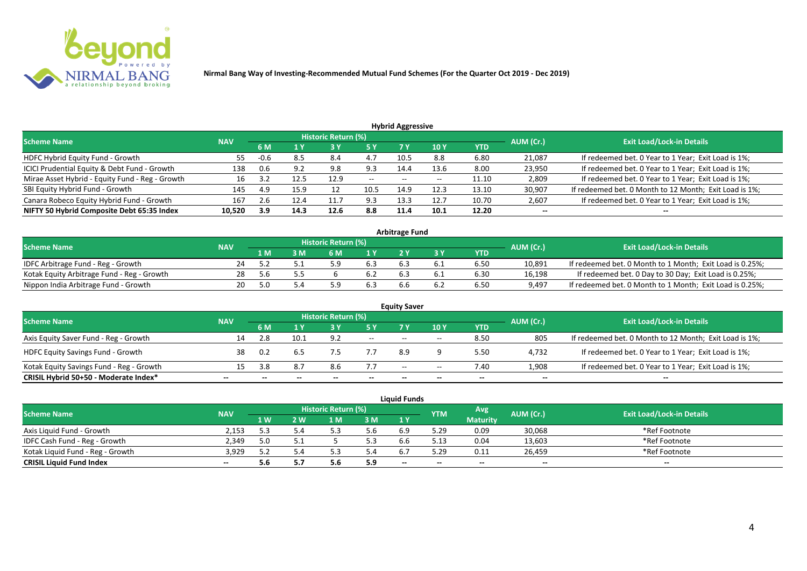

| <b>Hybrid Aggressive</b>                        |            |      |      |                            |                          |                          |       |       |           |                                                        |  |  |  |
|-------------------------------------------------|------------|------|------|----------------------------|--------------------------|--------------------------|-------|-------|-----------|--------------------------------------------------------|--|--|--|
| <b>Scheme Name</b>                              | <b>NAV</b> |      |      | <b>Historic Return (%)</b> |                          |                          |       |       | AUM (Cr.) | <b>Exit Load/Lock-in Details</b>                       |  |  |  |
|                                                 |            | 6 M  | 1 Y  |                            | 5 Y                      |                          | 10 Y  | YTD   |           |                                                        |  |  |  |
| HDFC Hybrid Equity Fund - Growth                | 55         | -0.u | 8.5  | 8.4                        | 4.7                      | 10.5                     | 8.8   | 6.80  | 21,087    | If redeemed bet. 0 Year to 1 Year; Exit Load is 1%;    |  |  |  |
| ICICI Prudential Equity & Debt Fund - Growth    | 138        |      | 9.2  | 9.8                        | 9.3                      | 14.4                     | 13.6  | 8.00  | 23,950    | If redeemed bet. 0 Year to 1 Year; Exit Load is 1%;    |  |  |  |
| Mirae Asset Hybrid - Equity Fund - Reg - Growth | 16         |      | 12.5 | 12.9                       | $\overline{\phantom{a}}$ | $\overline{\phantom{a}}$ | $- -$ | 11.10 | 2,809     | If redeemed bet. 0 Year to 1 Year; Exit Load is 1%;    |  |  |  |
| SBI Equity Hybrid Fund - Growth                 | 145        | 4.9  | 15.9 |                            | 10.5                     | 14.9                     | 12.3  | 13.10 | 30,907    | If redeemed bet. 0 Month to 12 Month; Exit Load is 1%; |  |  |  |
| Canara Robeco Equity Hybrid Fund - Growth       | 167        | Z.O  | 12.4 | 11.                        | 9.3                      | 13.5                     | 12.7  | 10.70 | 2,607     | If redeemed bet. 0 Year to 1 Year; Exit Load is 1%;    |  |  |  |
| NIFTY 50 Hybrid Composite Debt 65:35 Index      | 10,520     | 3.9  | 14.3 | 12.6                       | 8.8                      | 11.4                     | 10.1  | 12.20 | $- -$     | $- -$                                                  |  |  |  |

| <b>Arbitrage Fund</b>                      |            |     |   |                            |     |  |  |            |           |                                                          |  |  |  |
|--------------------------------------------|------------|-----|---|----------------------------|-----|--|--|------------|-----------|----------------------------------------------------------|--|--|--|
| <b>Scheme Name</b>                         | <b>NAV</b> |     |   | <b>Historic Return (%)</b> |     |  |  |            | AUM (Cr.) | <b>Exit Load/Lock-in Details</b>                         |  |  |  |
|                                            |            | 1 M | M | ና M                        | 1 V |  |  | <b>YTD</b> |           |                                                          |  |  |  |
| IDFC Arbitrage Fund - Reg - Growth         |            |     |   |                            | 6.3 |  |  | 6.50       | 10,891    | If redeemed bet. 0 Month to 1 Month; Exit Load is 0.25%; |  |  |  |
| Kotak Equity Arbitrage Fund - Reg - Growth | 28         |     |   |                            |     |  |  | 6.30       | 16,198    | If redeemed bet. 0 Day to 30 Day; Exit Load is 0.25%;    |  |  |  |
| Nippon India Arbitrage Fund - Growth       | 20.        |     |   |                            | 6.3 |  |  | 6.50       | 9,497     | If redeemed bet. 0 Month to 1 Month; Exit Load is 0.25%; |  |  |  |

|                                          |            |            |      |                     |        | <b>Equity Saver</b>      |       |            |           |                                                        |
|------------------------------------------|------------|------------|------|---------------------|--------|--------------------------|-------|------------|-----------|--------------------------------------------------------|
| <b>Scheme Name</b>                       | <b>NAV</b> |            |      | Historic Return (%) |        |                          |       |            | AUM (Cr.) | <b>Exit Load/Lock-in Details</b>                       |
|                                          |            | 6 M        |      |                     |        |                          | 10Y   | <b>YTD</b> |           |                                                        |
| Axis Equity Saver Fund - Reg - Growth    |            |            | 10.1 | 9.2                 | $\sim$ | $-$                      | $-$   | 8.50       | 805       | If redeemed bet. 0 Month to 12 Month; Exit Load is 1%; |
| <b>HDFC Equity Savings Fund - Growth</b> | 38         | 0.2        |      |                     |        | 8.9                      |       | 5.50       | 4,732     | If redeemed bet. 0 Year to 1 Year; Exit Load is 1%;    |
| Kotak Equity Savings Fund - Reg - Growth |            | <b>2</b> 8 | 8.7  | 8.6                 | 7.7    | $\overline{\phantom{a}}$ | $- -$ | 7.40       | 1,908     | If redeemed bet. 0 Year to 1 Year; Exit Load is 1%;    |
| CRISIL Hybrid 50+50 - Moderate Index*    | --         |            |      | $- -$               | --     | --                       | $- -$ |            | $- -$     | $- -$                                                  |

| <b>Liauid Funds</b>              |            |      |     |                     |     |         |            |                 |           |                                  |  |  |  |
|----------------------------------|------------|------|-----|---------------------|-----|---------|------------|-----------------|-----------|----------------------------------|--|--|--|
| <b>Scheme Name</b>               | <b>NAV</b> |      |     | Historic Return (%) |     |         | <b>YTM</b> | Avg             | AUM (Cr.) | <b>Exit Load/Lock-in Details</b> |  |  |  |
|                                  |            | 1 W/ | ว พ | l M                 | 3M  | 1Y      |            | <b>Maturity</b> |           |                                  |  |  |  |
| Axis Liquid Fund - Growth        | 2.153      |      |     |                     | 5.6 |         | 5.29       | 0.09            | 30,068    | *Ref Footnote                    |  |  |  |
| IDFC Cash Fund - Reg - Growth    | 2.349      |      |     |                     | 5.3 |         | 、1つ        | 0.04            | 13,603    | *Ref Footnote                    |  |  |  |
| Kotak Liquid Fund - Reg - Growth | 3.929      |      |     |                     | 5.4 | $b_{1}$ | .29 د      | 0.11            | 26,459    | *Ref Footnote                    |  |  |  |
| <b>CRISIL Liquid Fund Index</b>  | $- -$      |      |     |                     | 5.9 | $- -$   |            | $- -$           | $- -$     | $- -$                            |  |  |  |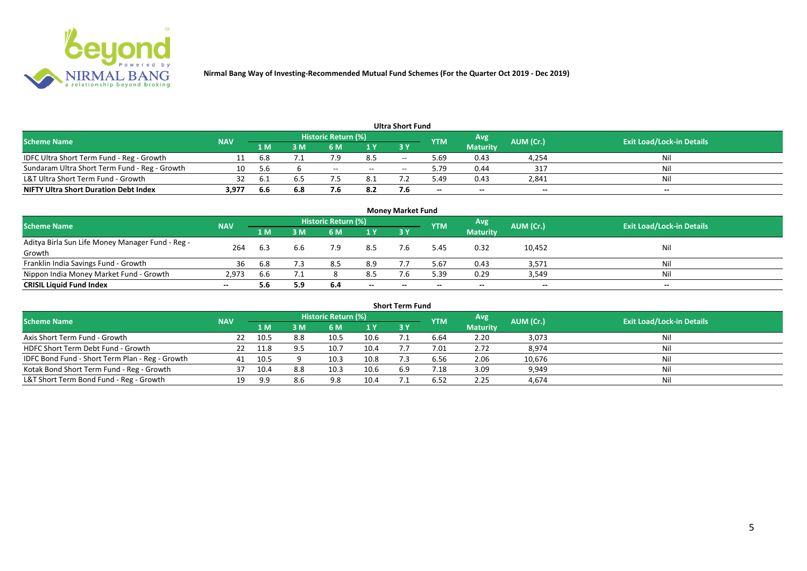

| <b>Ultra Short Fund</b>                       |            |      |     |                     |       |       |            |                 |           |                                  |  |  |  |  |
|-----------------------------------------------|------------|------|-----|---------------------|-------|-------|------------|-----------------|-----------|----------------------------------|--|--|--|--|
| <b>Scheme Name</b>                            | <b>NAV</b> |      |     | Historic Return (%) |       |       | <b>YTM</b> | Avg             | AUM (Cr.) | <b>Exit Load/Lock-in Details</b> |  |  |  |  |
|                                               |            | 1 M  | ۱M  | 6 M                 | 1 Y   | 73 Y  |            | <b>Maturity</b> |           |                                  |  |  |  |  |
| IDFC Ultra Short Term Fund - Reg - Growth     |            | 6.8  |     |                     | 8.5   | $- -$ | 69.د       | 0.43            | 4,254     | Nil                              |  |  |  |  |
| Sundaram Ultra Short Term Fund - Reg - Growth | 10         | .5.b |     | $- -$               | $- -$ | $-$   | 9.79       | 0.44            | -317      | Nil                              |  |  |  |  |
| L&T Ultra Short Term Fund - Growth            | 32         | -6.1 |     |                     | 8.1   |       | 49.د       | 0.43            | 2,841     | Nil                              |  |  |  |  |
| <b>NIFTY Ultra Short Duration Debt Index</b>  | 3,977      | 6.6  | 6.8 |                     | 8.2   |       | $- -$      | $- -$           | $- -$     | $- -$                            |  |  |  |  |

| <b>Money Market Fund</b>                                   |            |     |     |                     |                |           |            |                 |           |                                  |  |  |  |
|------------------------------------------------------------|------------|-----|-----|---------------------|----------------|-----------|------------|-----------------|-----------|----------------------------------|--|--|--|
| <b>Scheme Name</b>                                         | <b>NAV</b> |     |     | Historic Return (%) |                |           | <b>YTM</b> | Avg             | AUM (Cr.) | <b>Exit Load/Lock-in Details</b> |  |  |  |
|                                                            |            | 1 M | 3 M | 6 M                 | 1 <sup>Y</sup> | <b>3Y</b> |            | <b>Maturity</b> |           |                                  |  |  |  |
| Aditya Birla Sun Life Money Manager Fund - Reg -<br>Growth | 264        | 6.3 | 6.6 | 7.9                 | 8.5            |           | 5.45       | 0.32            | 10,452    | Nil                              |  |  |  |
| Franklin India Savings Fund - Growth                       | 36         | 6.8 | 7.3 | 8.5                 | 8.9            |           | 5.67       | 0.43            | 3,571     | Nil                              |  |  |  |
| Nippon India Money Market Fund - Growth                    | 2,973      | 6.6 |     |                     | 8.5            |           | 5.39       | 0.29            | 3,549     | Nil                              |  |  |  |
| <b>CRISIL Liquid Fund Index</b>                            | $- -$      | 5.6 | 5.9 | 6.4                 | $- -$          | $- -$     | $- -$      | $- -$           | $- -$     | $- -$                            |  |  |  |

| <b>Short Term Fund</b>                          |            |      |     |                            |      |           |            |                 |           |                                  |  |  |  |
|-------------------------------------------------|------------|------|-----|----------------------------|------|-----------|------------|-----------------|-----------|----------------------------------|--|--|--|
| <b>Scheme Name</b>                              | <b>NAV</b> |      |     | <b>Historic Return (%)</b> |      |           | <b>YTM</b> | Avg             | AUM (Cr.) | <b>Exit Load/Lock-in Details</b> |  |  |  |
|                                                 |            | 1 M  | 3 M | 6 M                        | 1Y   | <b>3Y</b> |            | <b>Maturity</b> |           |                                  |  |  |  |
| Axis Short Term Fund - Growth                   | 22         | 10.5 | 8.8 | 10.5                       | 10.6 |           | 6.64       | 2.20            | 3,073     | Nil                              |  |  |  |
| HDFC Short Term Debt Fund - Growth              | 22         | 11.8 |     | 10.7                       | 10.4 |           | 7.01       | 2.72            | 8,974     | Nil                              |  |  |  |
| IDFC Bond Fund - Short Term Plan - Reg - Growth | 41         | 10.5 |     | 10.3                       | 10.8 |           | 6.56       | 2.06            | 10,676    | Nil                              |  |  |  |
| Kotak Bond Short Term Fund - Reg - Growth       |            |      | 8.8 | 10.3                       | 10.6 | 6.9       | 1.18       | 3.09            | 9,949     | Nil                              |  |  |  |
| L&T Short Term Bond Fund - Reg - Growth         | 19         | 9.9  | 8.6 | 9.8                        | 10.4 |           | 6.52       | 2.25            | 4,674     | Nil                              |  |  |  |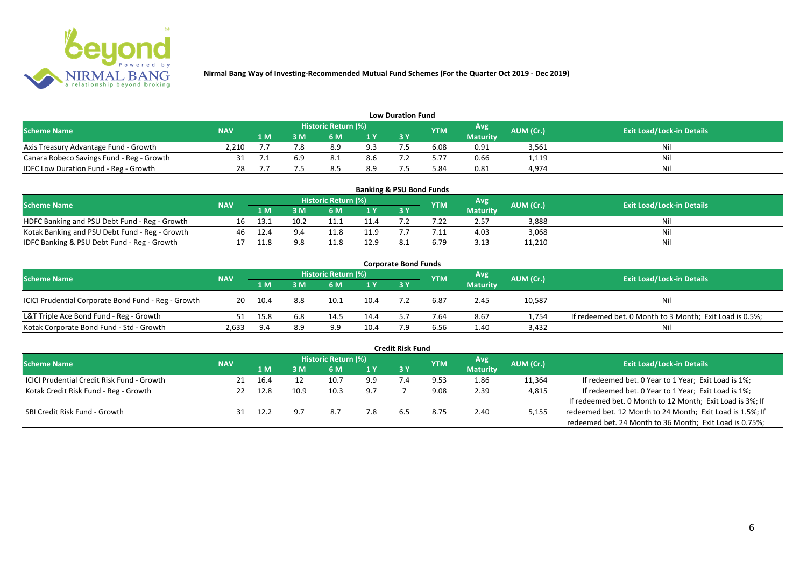

| <b>Low Duration Fund</b>                  |            |     |     |                            |     |      |            |                 |           |                                  |  |  |  |  |
|-------------------------------------------|------------|-----|-----|----------------------------|-----|------|------------|-----------------|-----------|----------------------------------|--|--|--|--|
| <b>Scheme Name</b>                        | <b>NAV</b> |     |     | <b>Historic Return (%)</b> |     |      | <b>YTM</b> | Avg             | AUM (Cr.) | <b>Exit Load/Lock-in Details</b> |  |  |  |  |
|                                           |            | 1 M | 3 M |                            | 1Y  | 73 Y |            | <b>Maturity</b> |           |                                  |  |  |  |  |
| Axis Treasury Advantage Fund - Growth     | 2.210      |     |     | 8.9                        | 9.3 |      | 6.08       | 0.91            | 3,561     | Ni                               |  |  |  |  |
| Canara Robeco Savings Fund - Reg - Growth |            |     |     |                            | 8.6 |      | 5.77       | 0.66            | 1,119     | Nil                              |  |  |  |  |
| IDFC Low Duration Fund - Reg - Growth     |            |     |     |                            | 8.9 |      | 84.د       | 0.81            | 4,974     | Nil                              |  |  |  |  |

| <b>Banking &amp; PSU Bond Funds</b>            |            |      |      |                            |      |           |            |                 |           |                                  |  |  |  |
|------------------------------------------------|------------|------|------|----------------------------|------|-----------|------------|-----------------|-----------|----------------------------------|--|--|--|
| <b>Scheme Name</b>                             | <b>NAV</b> |      |      | <b>Historic Return (%)</b> |      |           | <b>YTM</b> | Avg             | AUM (Cr.) | <b>Exit Load/Lock-in Details</b> |  |  |  |
|                                                |            | 1 M  |      | 6 M                        |      | <b>3Y</b> |            | <b>Maturity</b> |           |                                  |  |  |  |
| HDFC Banking and PSU Debt Fund - Reg - Growth  | 16         | ذ.13 | 10.2 |                            | 11.4 |           |            | 2.57            | 3,888     | Nil                              |  |  |  |
| Kotak Banking and PSU Debt Fund - Reg - Growth | 46         | 12.4 | 9.4  |                            | 11.9 |           |            | 4.03            | 3,068     | Nil                              |  |  |  |
| IDFC Banking & PSU Debt Fund - Reg - Growth    |            | 11.8 | 9.8  |                            | 12.9 |           | 6.79       | 3.13            | 11,210    | Nil                              |  |  |  |

| <b>Corporate Bond Funds</b>                         |            |      |     |                            |      |     |            |                 |           |                                                         |  |  |  |
|-----------------------------------------------------|------------|------|-----|----------------------------|------|-----|------------|-----------------|-----------|---------------------------------------------------------|--|--|--|
| <b>Scheme Name</b>                                  | <b>NAV</b> |      |     | <b>Historic Return (%)</b> |      |     | <b>YTM</b> | Avg             | AUM (Cr.) | <b>Exit Load/Lock-in Details</b>                        |  |  |  |
|                                                     |            | 1 M  | : M | 6 M                        | 1Y   | 3 Y |            | <b>Maturity</b> |           |                                                         |  |  |  |
| ICICI Prudential Corporate Bond Fund - Reg - Growth | 20         | 10.4 | 8.8 | 10.1                       | 10.4 |     | 6.87       | 2.45            | 10,587    | <b>Nil</b>                                              |  |  |  |
| L&T Triple Ace Bond Fund - Reg - Growth             |            | 15.8 | 6.8 | 14.5                       | 14.4 |     | 7.64       | 8.67            | 1,754     | If redeemed bet. 0 Month to 3 Month; Exit Load is 0.5%; |  |  |  |
| Kotak Corporate Bond Fund - Std - Growth            | 2,633      | 9.4  | 8.9 | 9.9                        | 10.4 |     | 6.56       | 1.40            | 3,432     | Nil                                                     |  |  |  |

|                                                   |            |      |      |                            |      | <b>Credit Risk Fund</b> |            |                 |           |                                                           |
|---------------------------------------------------|------------|------|------|----------------------------|------|-------------------------|------------|-----------------|-----------|-----------------------------------------------------------|
| <b>Scheme Name</b>                                | <b>NAV</b> |      |      | <b>Historic Return (%)</b> |      |                         | <b>YTM</b> | Avg             | AUM (Cr.) | <b>Exit Load/Lock-in Details</b>                          |
|                                                   |            | 1 M. | 3 M  | 6 M                        | 71 Y | <b>3 Y</b>              |            | <b>Maturity</b> |           |                                                           |
| <b>ICICI Prudential Credit Risk Fund - Growth</b> | 21         | 16.4 |      | 10.7                       | 9.9  |                         | 9.53       | 1.86            | 11,364    | If redeemed bet. 0 Year to 1 Year; Exit Load is 1%;       |
| Kotak Credit Risk Fund - Reg - Growth             |            | 12.8 | 10.9 | 10.3                       | 9.7  |                         | 9.08       | 2.39            | 4,815     | If redeemed bet. 0 Year to 1 Year; Exit Load is 1%;       |
|                                                   |            |      |      |                            |      |                         |            |                 |           | If redeemed bet. 0 Month to 12 Month; Exit Load is 3%; If |
| SBI Credit Risk Fund - Growth                     |            | 12.2 |      | 8.7                        | 7.8  | b.5                     | 8.75       | 2.40            | 5,155     | redeemed bet. 12 Month to 24 Month; Exit Load is 1.5%; If |
|                                                   |            |      |      |                            |      |                         |            |                 |           | redeemed bet. 24 Month to 36 Month; Exit Load is 0.75%;   |